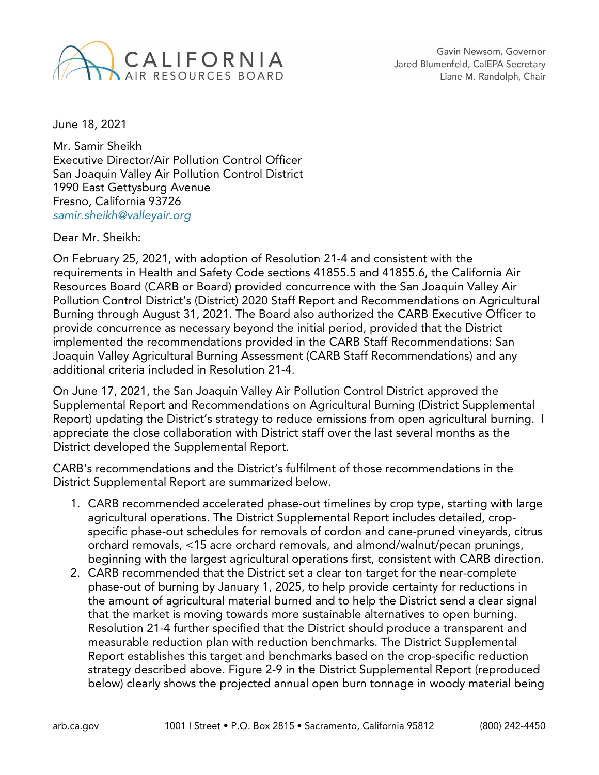

June 18, 2021

Mr. Samir Sheikh Executive Director/Air Pollution Control Officer San Joaquin Valley Air Pollution Control District 1990 East Gettysburg Avenue Fresno, California 93726 *[samir.sheikh@valleyair.org](mailto:samir.sheikh@valleyair.org)*

Dear Mr. Sheikh:

On February 25, 2021, with adoption of Resolution 21-4 and consistent with the requirements in Health and Safety Code sections 41855.5 and 41855.6, the California Air Resources Board (CARB or Board) provided concurrence with the San Joaquin Valley Air Pollution Control District's (District) 2020 Staff Report and Recommendations on Agricultural Burning through August 31, 2021. The Board also authorized the CARB Executive Officer to provide concurrence as necessary beyond the initial period, provided that the District implemented the recommendations provided in the CARB Staff Recommendations: San Joaquin Valley Agricultural Burning Assessment (CARB Staff Recommendations) and any additional criteria included in Resolution 21-4.

On June 17, 2021, the San Joaquin Valley Air Pollution Control District approved the Supplemental Report and Recommendations on Agricultural Burning (District Supplemental Report) updating the District's strategy to reduce emissions from open agricultural burning. I appreciate the close collaboration with District staff over the last several months as the District developed the Supplemental Report.

CARB's recommendations and the District's fulfilment of those recommendations in the District Supplemental Report are summarized below.

- 1. CARB recommended accelerated phase-out timelines by crop type, starting with large agricultural operations. The District Supplemental Report includes detailed, cropspecific phase-out schedules for removals of cordon and cane-pruned vineyards, citrus orchard removals, <15 acre orchard removals, and almond/walnut/pecan prunings, beginning with the largest agricultural operations first, consistent with CARB direction.
- 2. CARB recommended that the District set a clear ton target for the near-complete phase-out of burning by January 1, 2025, to help provide certainty for reductions in the amount of agricultural material burned and to help the District send a clear signal that the market is moving towards more sustainable alternatives to open burning. Resolution 21-4 further specified that the District should produce a transparent and measurable reduction plan with reduction benchmarks. The District Supplemental Report establishes this target and benchmarks based on the crop-specific reduction strategy described above. Figure 2-9 in the District Supplemental Report (reproduced below) clearly shows the projected annual open burn tonnage in woody material being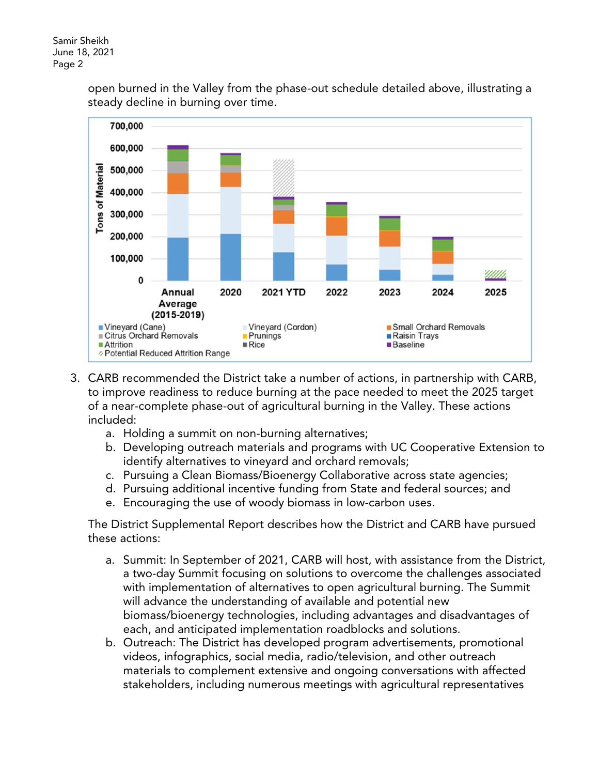open burned in the Valley from the phase-out schedule detailed above, illustrating a steady decline in burning over time.



- 3. CARB recommended the District take a number of actions, in partnership with CARB, to improve readiness to reduce burning at the pace needed to meet the 2025 target of a near-complete phase-out of agricultural burning in the Valley. These actions included:
	- a. Holding a summit on non-burning alternatives;
	- b. Developing outreach materials and programs with UC Cooperative Extension to identify alternatives to vineyard and orchard removals;
	- c. Pursuing a Clean Biomass/Bioenergy Collaborative across state agencies;
	- d. Pursuing additional incentive funding from State and federal sources; and
	- e. Encouraging the use of woody biomass in low-carbon uses.

The District Supplemental Report describes how the District and CARB have pursued these actions:

- a. Summit: In September of 2021, CARB will host, with assistance from the District, a two-day Summit focusing on solutions to overcome the challenges associated with implementation of alternatives to open agricultural burning. The Summit will advance the understanding of available and potential new biomass/bioenergy technologies, including advantages and disadvantages of each, and anticipated implementation roadblocks and solutions.
- b. Outreach: The District has developed program advertisements, promotional videos, infographics, social media, radio/television, and other outreach materials to complement extensive and ongoing conversations with affected stakeholders, including numerous meetings with agricultural representatives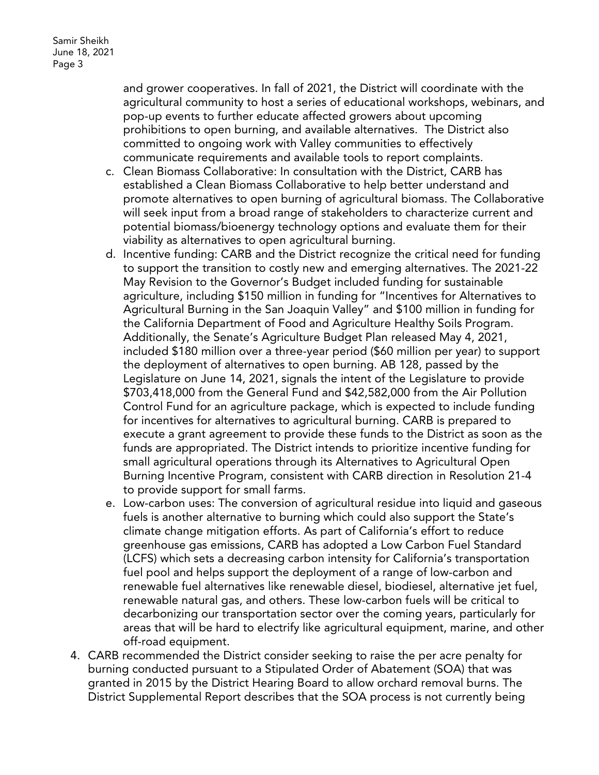and grower cooperatives. In fall of 2021, the District will coordinate with the agricultural community to host a series of educational workshops, webinars, and pop-up events to further educate affected growers about upcoming prohibitions to open burning, and available alternatives. The District also committed to ongoing work with Valley communities to effectively communicate requirements and available tools to report complaints.

- c. Clean Biomass Collaborative: In consultation with the District, CARB has established a Clean Biomass Collaborative to help better understand and promote alternatives to open burning of agricultural biomass. The Collaborative will seek input from a broad range of stakeholders to characterize current and potential biomass/bioenergy technology options and evaluate them for their viability as alternatives to open agricultural burning.
- d. Incentive funding: CARB and the District recognize the critical need for funding to support the transition to costly new and emerging alternatives. The 2021-22 May Revision to the Governor's Budget included funding for sustainable agriculture, including \$150 million in funding for "Incentives for Alternatives to Agricultural Burning in the San Joaquin Valley" and \$100 million in funding for the California Department of Food and Agriculture Healthy Soils Program. Additionally, the Senate's Agriculture Budget Plan released May 4, 2021, included \$180 million over a three-year period (\$60 million per year) to support the deployment of alternatives to open burning. AB 128, passed by the Legislature on June 14, 2021, signals the intent of the Legislature to provide \$703,418,000 from the General Fund and \$42,582,000 from the Air Pollution Control Fund for an agriculture package, which is expected to include funding for incentives for alternatives to agricultural burning. CARB is prepared to execute a grant agreement to provide these funds to the District as soon as the funds are appropriated. The District intends to prioritize incentive funding for small agricultural operations through its Alternatives to Agricultural Open Burning Incentive Program, consistent with CARB direction in Resolution 21-4 to provide support for small farms.
- e. Low-carbon uses: The conversion of agricultural residue into liquid and gaseous fuels is another alternative to burning which could also support the State's climate change mitigation efforts. As part of California's effort to reduce greenhouse gas emissions, CARB has adopted a Low Carbon Fuel Standard (LCFS) which sets a decreasing carbon intensity for California's transportation fuel pool and helps support the deployment of a range of low-carbon and renewable fuel alternatives like renewable diesel, biodiesel, alternative jet fuel, renewable natural gas, and others. These low-carbon fuels will be critical to decarbonizing our transportation sector over the coming years, particularly for areas that will be hard to electrify like agricultural equipment, marine, and other off-road equipment.
- 4. CARB recommended the District consider seeking to raise the per acre penalty for burning conducted pursuant to a Stipulated Order of Abatement (SOA) that was granted in 2015 by the District Hearing Board to allow orchard removal burns. The District Supplemental Report describes that the SOA process is not currently being